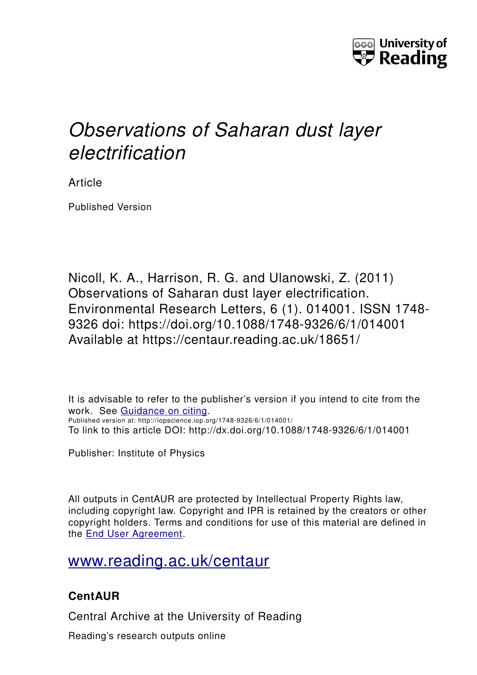

## *Observations of Saharan dust layer electrification*

Article

Published Version

Nicoll, K. A., Harrison, R. G. and Ulanowski, Z. (2011) Observations of Saharan dust layer electrification. Environmental Research Letters, 6 (1). 014001. ISSN 1748- 9326 doi: https://doi.org/10.1088/1748-9326/6/1/014001 Available at https://centaur.reading.ac.uk/18651/

It is advisable to refer to the publisher's version if you intend to cite from the work. See [Guidance on citing.](http://centaur.reading.ac.uk/71187/10/CentAUR%20citing%20guide.pdf) Published version at: http://iopscience.iop.org/1748-9326/6/1/014001/ To link to this article DOI: http://dx.doi.org/10.1088/1748-9326/6/1/014001

Publisher: Institute of Physics

All outputs in CentAUR are protected by Intellectual Property Rights law, including copyright law. Copyright and IPR is retained by the creators or other copyright holders. Terms and conditions for use of this material are defined in the [End User Agreement.](http://centaur.reading.ac.uk/licence)

[www.reading.ac.uk/centaur](http://www.reading.ac.uk/centaur)

### **CentAUR**

Central Archive at the University of Reading

Reading's research outputs online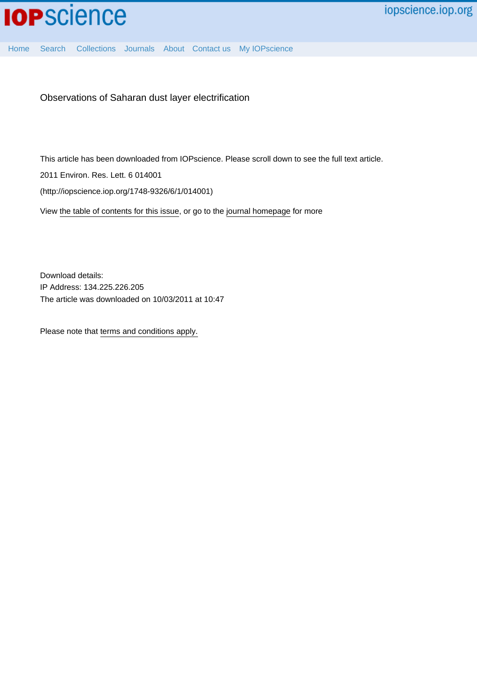

Observations of Saharan dust layer electrification

This article has been downloaded from IOPscience. Please scroll down to see the full text article.

2011 Environ. Res. Lett. 6 014001

(http://iopscience.iop.org/1748-9326/6/1/014001)

View [the table of contents for this issue](http://iopscience.iop.org/1748-9326/6/1), or go to the [journal homepage](http://iopscience.iop.org/1748-9326) for more

Download details: IP Address: 134.225.226.205 The article was downloaded on 10/03/2011 at 10:47

Please note that [terms and conditions apply.](http://iopscience.iop.org/page/terms)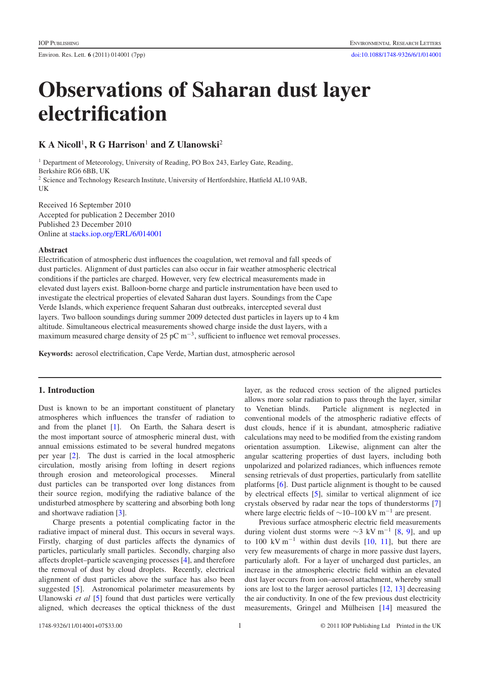# **Observations of Saharan dust layer electrification**

### **K A Nicoll**<sup>1</sup>**, R G Harrison**<sup>1</sup> **and Z Ulanowski**<sup>2</sup>

<sup>1</sup> Department of Meteorology, University of Reading, PO Box 243, Earley Gate, Reading, Berkshire RG6 6BB, UK <sup>2</sup> Science and Technology Research Institute, University of Hertfordshire, Hatfield AL10 9AB, UK

Received 16 September 2010 Accepted for publication 2 December 2010 Published 23 December 2010 Online at [stacks.iop.org/ERL/6/014001](http://stacks.iop.org/ERL/6/014001)

#### **Abstract**

Electrification of atmospheric dust influences the coagulation, wet removal and fall speeds of dust particles. Alignment of dust particles can also occur in fair weather atmospheric electrical conditions if the particles are charged. However, very few electrical measurements made in elevated dust layers exist. Balloon-borne charge and particle instrumentation have been used to investigate the electrical properties of elevated Saharan dust layers. Soundings from the Cape Verde Islands, which experience frequent Saharan dust outbreaks, intercepted several dust layers. Two balloon soundings during summer 2009 detected dust particles in layers up to 4 km altitude. Simultaneous electrical measurements showed charge inside the dust layers, with a maximum measured charge density of 25 pC  $m^{-3}$ , sufficient to influence wet removal processes.

**Keywords:** aerosol electrification, Cape Verde, Martian dust, atmospheric aerosol

#### **1. Introduction**

Dust is known to be an important constituent of planetary atmospheres which influences the transfer of radiation to and from the planet [\[1\]](#page-7-0). On Earth, the Sahara desert is the most important source of atmospheric mineral dust, with annual emissions estimated to be several hundred megatons per year [\[2\]](#page-7-1). The dust is carried in the local atmospheric circulation, mostly arising from lofting in desert regions through erosion and meteorological processes. Mineral dust particles can be transported over long distances from their source region, modifying the radiative balance of the undisturbed atmosphere by scattering and absorbing both long and shortwave radiation [\[3\]](#page-7-2).

Charge presents a potential complicating factor in the radiative impact of mineral dust. This occurs in several ways. Firstly, charging of dust particles affects the dynamics of particles, particularly small particles. Secondly, charging also affects droplet–particle scavenging processes [\[4\]](#page-7-3), and therefore the removal of dust by cloud droplets. Recently, electrical alignment of dust particles above the surface has also been suggested [\[5\]](#page-7-4). Astronomical polarimeter measurements by Ulanowski *et al* [\[5\]](#page-7-4) found that dust particles were vertically aligned, which decreases the optical thickness of the dust layer, as the reduced cross section of the aligned particles allows more solar radiation to pass through the layer, similar to Venetian blinds. Particle alignment is neglected in conventional models of the atmospheric radiative effects of dust clouds, hence if it is abundant, atmospheric radiative calculations may need to be modified from the existing random orientation assumption. Likewise, alignment can alter the angular scattering properties of dust layers, including both unpolarized and polarized radiances, which influences remote sensing retrievals of dust properties, particularly from satellite platforms [\[6\]](#page-7-5). Dust particle alignment is thought to be caused by electrical effects [\[5\]](#page-7-4), similar to vertical alignment of ice crystals observed by radar near the tops of thunderstorms [\[7\]](#page-7-6) where large electric fields of  $\sim$ 10–100 kV m<sup>-1</sup> are present.

Previous surface atmospheric electric field measurements during violent dust storms were  $\sim$ 3 kV m<sup>-1</sup> [\[8,](#page-8-0) [9\]](#page-8-1), and up to 100 kV m<sup>-1</sup> within dust devils [\[10,](#page-8-2) [11\]](#page-8-3), but there are very few measurements of charge in more passive dust layers, particularly aloft. For a layer of uncharged dust particles, an increase in the atmospheric electric field within an elevated dust layer occurs from ion–aerosol attachment, whereby small ions are lost to the larger aerosol particles [\[12,](#page-8-4) [13\]](#page-8-5) decreasing the air conductivity. In one of the few previous dust electricity measurements, Gringel and Mülheisen [\[14\]](#page-8-6) measured the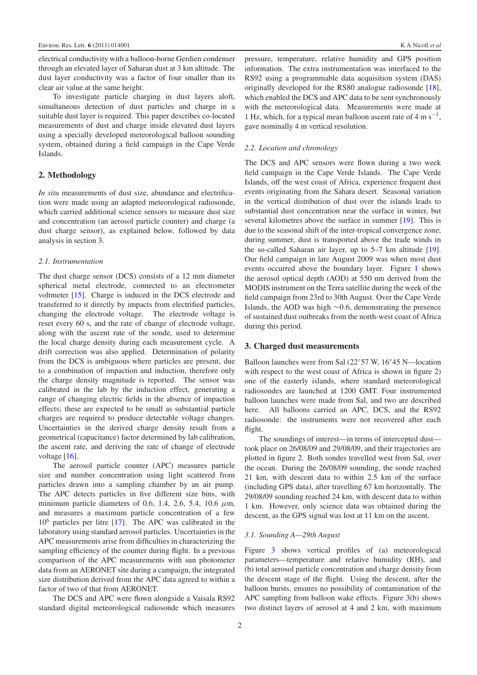electrical conductivity with a balloon-borne Gerdien condenser through an elevated layer of Saharan dust at 3 km altitude. The dust layer conductivity was a factor of four smaller than its clear air value at the same height.

To investigate particle charging in dust layers aloft, simultaneous detection of dust particles and charge in a suitable dust layer is required. This paper describes co-located measurements of dust and charge inside elevated dust layers using a specially developed meteorological balloon sounding system, obtained during a field campaign in the Cape Verde Islands.

#### **2. Methodology**

*In situ* measurements of dust size, abundance and electrification were made using an adapted meteorological radiosonde, which carried additional science sensors to measure dust size and concentration (an aerosol particle counter) and charge (a dust charge sensor), as explained below, followed by data analysis in section [3.](#page-3-0)

#### *2.1. Instrumentation*

The dust charge sensor (DCS) consists of a 12 mm diameter spherical metal electrode, connected to an electrometer voltmeter [\[15\]](#page-8-7). Charge is induced in the DCS electrode and transferred to it directly by impacts from electrified particles, changing the electrode voltage. The electrode voltage is reset every 60 s, and the rate of change of electrode voltage, along with the ascent rate of the sonde, used to determine the local charge density during each measurement cycle. A drift correction was also applied. Determination of polarity from the DCS is ambiguous where particles are present, due to a combination of impaction and induction, therefore only the charge density magnitude is reported. The sensor was calibrated in the lab by the induction effect, generating a range of changing electric fields in the absence of impaction effects; these are expected to be small as substantial particle charges are required to produce detectable voltage changes. Uncertainties in the derived charge density result from a geometrical (capacitance) factor determined by lab calibration, the ascent rate, and deriving the rate of change of electrode voltage [\[16\]](#page-8-8).

The aerosol particle counter (APC) measures particle size and number concentration using light scattered from particles drawn into a sampling chamber by an air pump. The APC detects particles in five different size bins, with minimum particle diameters of 0.6, 1.4, 2.6, 5.4, 10.6 *µ*m, and measures a maximum particle concentration of a few 10<sup>6</sup> particles per litre [\[17\]](#page-8-9). The APC was calibrated in the laboratory using standard aerosol particles. Uncertainties in the APC measurements arise from difficulties in characterizing the sampling efficiency of the counter during flight. In a previous comparison of the APC measurements with sun photometer data from an AERONET site during a campaign, the integrated size distribution derived from the APC data agreed to within a factor of two of that from AERONET.

The DCS and APC were flown alongside a Vaisala RS92 standard digital meteorological radiosonde which measures pressure, temperature, relative humidity and GPS position information. The extra instrumentation was interfaced to the RS92 using a programmable data acquisition system (DAS) originally developed for the RS80 analogue radiosonde [\[18\]](#page-8-10), which enabled the DCS and APC data to be sent synchronously with the meteorological data. Measurements were made at 1 Hz, which, for a typical mean balloon ascent rate of 4 m s<sup> $-1$ </sup>, gave nominally 4 m vertical resolution.

#### *2.2. Location and chronology*

The DCS and APC sensors were flown during a two week field campaign in the Cape Verde Islands. The Cape Verde Islands, off the west coast of Africa, experience frequent dust events originating from the Sahara desert. Seasonal variation in the vertical distribution of dust over the islands leads to substantial dust concentration near the surface in winter, but several kilometres above the surface in summer [\[19\]](#page-8-11). This is due to the seasonal shift of the inter-tropical convergence zone; during summer, dust is transported above the trade winds in the so-called Saharan air layer, up to 5–7 km altitude [\[19\]](#page-8-11). Our field campaign in late August 2009 was when most dust events occurred above the boundary layer. Figure [1](#page-4-0) shows the aerosol optical depth (AOD) at 550 nm derived from the MODIS instrument on the Terra satellite during the week of the field campaign from 23rd to 30th August. Over the Cape Verde Islands, the AOD was high ∼0*.*6, demonstrating the presence of sustained dust outbreaks from the north-west coast of Africa during this period.

#### <span id="page-3-0"></span>**3. Charged dust measurements**

Balloon launches were from Sal (22◦57 W, 16◦45 N—location with respect to the west coast of Africa is shown in figure [2\)](#page-5-0) one of the easterly islands, where standard meteorological radiosondes are launched at 1200 GMT. Four instrumented balloon launches were made from Sal, and two are described here. All balloons carried an APC, DCS, and the RS92 radiosonde: the instruments were not recovered after each flight.

The soundings of interest—in terms of intercepted dust took place on 26/08/09 and 29/08/09, and their trajectories are plotted in figure [2.](#page-5-0) Both sondes travelled west from Sal, over the ocean. During the 26/08/09 sounding, the sonde reached 21 km, with descent data to within 2.5 km of the surface (including GPS data), after travelling 67 km horizontally. The 29/08/09 sounding reached 24 km, with descent data to within 1 km. However, only science data was obtained during the descent, as the GPS signal was lost at 11 km on the ascent.

#### *3.1. Sounding A—29th August*

Figure [3](#page-5-1) shows vertical profiles of (a) meteorological parameters—temperature and relative humidity (RH), and (b) total aerosol particle concentration and charge density from the descent stage of the flight. Using the descent, after the balloon bursts, ensures no possibility of contamination of the APC sampling from balloon wake effects. Figure  $3(b)$  $3(b)$  shows two distinct layers of aerosol at 4 and 2 km, with maximum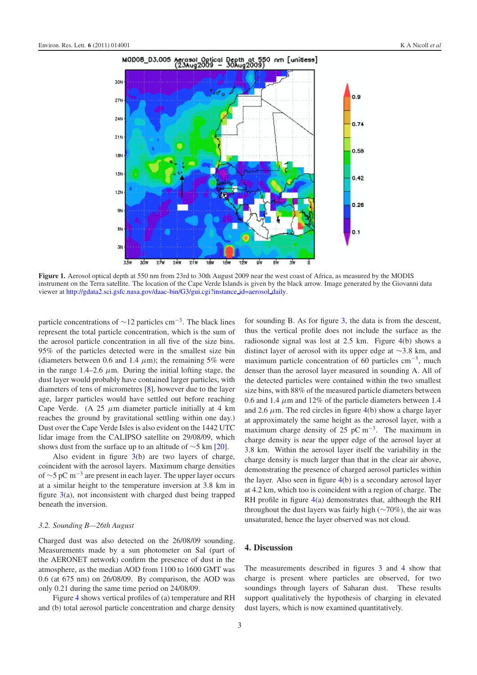<span id="page-4-0"></span>

**Figure 1.** Aerosol optical depth at 550 nm from 23rd to 30th August 2009 near the west coast of Africa, as measured by the MODIS instrument on the Terra satellite. The location of the Cape Verde Islands is given by the black arrow. Image generated by the Giovanni data viewer at [http://gdata2.sci.gsfc.nasa.gov/daac-bin/G3/gui.cgi?instance](http://gdata2.sci.gsfc.nasa.gov/daac-bin/G3/gui.cgi?instance_id=aerosol_daily) [id=aerosol](http://gdata2.sci.gsfc.nasa.gov/daac-bin/G3/gui.cgi?instance_id=aerosol_daily) [daily.](http://gdata2.sci.gsfc.nasa.gov/daac-bin/G3/gui.cgi?instance_id=aerosol_daily)

particle concentrations of  $\sim$ 12 particles cm<sup>-3</sup>. The black lines represent the total particle concentration, which is the sum of the aerosol particle concentration in all five of the size bins. 95% of the particles detected were in the smallest size bin (diameters between 0.6 and 1.4  $\mu$ m); the remaining 5% were in the range  $1.4-2.6 \mu m$ . During the initial lofting stage, the dust layer would probably have contained larger particles, with diameters of tens of micrometres [\[8\]](#page-8-0), however due to the layer age, larger particles would have settled out before reaching Cape Verde. (A  $25 \mu m$  diameter particle initially at 4 km reaches the ground by gravitational settling within one day.) Dust over the Cape Verde Isles is also evident on the 1442 UTC lidar image from the CALIPSO satellite on 29/08/09, which shows dust from the surface up to an altitude of  $\sim$ 5 km [\[20\]](#page-8-12).

Also evident in figure [3\(](#page-5-1)b) are two layers of charge, coincident with the aerosol layers. Maximum charge densities of ∼5 pC m−<sup>3</sup> are present in each layer. The upper layer occurs at a similar height to the temperature inversion at 3.8 km in figure [3\(](#page-5-1)a), not inconsistent with charged dust being trapped beneath the inversion.

#### *3.2. Sounding B—26th August*

Charged dust was also detected on the 26/08/09 sounding. Measurements made by a sun photometer on Sal (part of the AERONET network) confirm the presence of dust in the atmosphere, as the median AOD from 1100 to 1600 GMT was 0.6 (at 675 nm) on 26/08/09. By comparison, the AOD was only 0.21 during the same time period on 24/08/09.

Figure [4](#page-6-0) shows vertical profiles of (a) temperature and RH and (b) total aerosol particle concentration and charge density

for sounding B. As for figure [3,](#page-5-1) the data is from the descent, thus the vertical profile does not include the surface as the radiosonde signal was lost at 2.5 km. Figure [4\(](#page-6-0)b) shows a distinct layer of aerosol with its upper edge at ∼3*.*8 km, and maximum particle concentration of 60 particles  $cm^{-3}$ , much denser than the aerosol layer measured in sounding A. All of the detected particles were contained within the two smallest size bins, with 88% of the measured particle diameters between 0.6 and 1.4  $\mu$ m and 12% of the particle diameters between 1.4 and 2.6  $\mu$ m. The red circles in figure [4\(](#page-6-0)b) show a charge layer at approximately the same height as the aerosol layer, with a maximum charge density of 25 pC m<sup>-3</sup>. The maximum in charge density is near the upper edge of the aerosol layer at 3.8 km. Within the aerosol layer itself the variability in the charge density is much larger than that in the clear air above, demonstrating the presence of charged aerosol particles within the layer. Also seen in figure [4\(](#page-6-0)b) is a secondary aerosol layer at 4.2 km, which too is coincident with a region of charge. The RH profile in figure [4\(](#page-6-0)a) demonstrates that, although the RH throughout the dust layers was fairly high (∼70%), the air was unsaturated, hence the layer observed was not cloud.

#### **4. Discussion**

The measurements described in figures [3](#page-5-1) and [4](#page-6-0) show that charge is present where particles are observed, for two soundings through layers of Saharan dust. These results support qualitatively the hypothesis of charging in elevated dust layers, which is now examined quantitatively.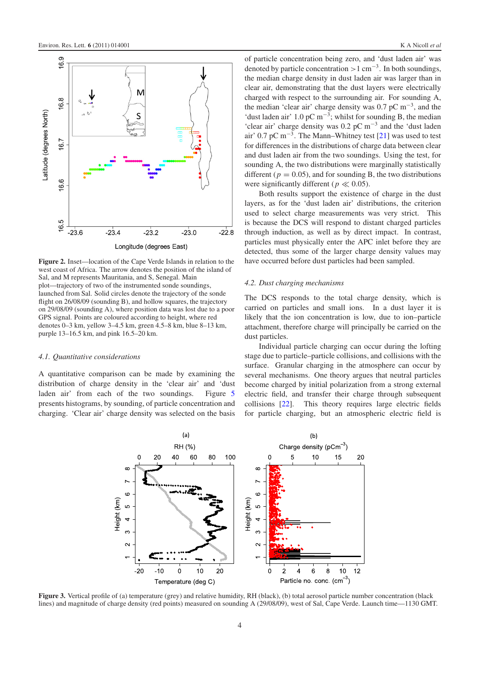<span id="page-5-0"></span>

**Figure 2.** Inset—location of the Cape Verde Islands in relation to the west coast of Africa. The arrow denotes the position of the island of Sal, and M represents Mauritania, and S, Senegal. Main plot—trajectory of two of the instrumented sonde soundings, launched from Sal. Solid circles denote the trajectory of the sonde flight on  $26/08/09$  (sounding B), and hollow squares, the trajectory on 29/08/09 (sounding A), where position data was lost due to a poor GPS signal. Points are coloured according to height, where red denotes 0–3 km, yellow 3–4.5 km, green 4.5–8 km, blue 8–13 km, purple 13–16.5 km, and pink 16.5–20 km.

#### *4.1. Quantitative considerations*

<span id="page-5-1"></span>A quantitative comparison can be made by examining the distribution of charge density in the 'clear air' and 'dust laden air' from each of the two soundings. Figure [5](#page-6-1) presents histograms, by sounding, of particle concentration and charging. 'Clear air' charge density was selected on the basis of particle concentration being zero, and 'dust laden air' was denoted by particle concentration *>*1 cm−3. In both soundings, the median charge density in dust laden air was larger than in clear air, demonstrating that the dust layers were electrically charged with respect to the surrounding air. For sounding A, the median 'clear air' charge density was 0.7 pC  $m^{-3}$ , and the 'dust laden air' 1.0 pC m<sup>-3</sup>; whilst for sounding B, the median 'clear air' charge density was  $0.2$  pC m<sup>-3</sup> and the 'dust laden air' 0.7 pC m<sup>-3</sup>. The Mann–Whitney test [\[21\]](#page-8-13) was used to test for differences in the distributions of charge data between clear and dust laden air from the two soundings. Using the test, for sounding A, the two distributions were marginally statistically different ( $p = 0.05$ ), and for sounding B, the two distributions were significantly different ( $p \ll 0.05$ ).

Both results support the existence of charge in the dust layers, as for the 'dust laden air' distributions, the criterion used to select charge measurements was very strict. This is because the DCS will respond to distant charged particles through induction, as well as by direct impact. In contrast, particles must physically enter the APC inlet before they are detected, thus some of the larger charge density values may have occurred before dust particles had been sampled.

#### *4.2. Dust charging mechanisms*

The DCS responds to the total charge density, which is carried on particles and small ions. In a dust layer it is likely that the ion concentration is low, due to ion–particle attachment, therefore charge will principally be carried on the dust particles.

Individual particle charging can occur during the lofting stage due to particle–particle collisions, and collisions with the surface. Granular charging in the atmosphere can occur by several mechanisms. One theory argues that neutral particles become charged by initial polarization from a strong external electric field, and transfer their charge through subsequent collisions [\[22\]](#page-8-14). This theory requires large electric fields for particle charging, but an atmospheric electric field is



Figure 3. Vertical profile of (a) temperature (grey) and relative humidity, RH (black), (b) total aerosol particle number concentration (black lines) and magnitude of charge density (red points) measured on sounding A (29/08/09), west of Sal, Cape Verde. Launch time—1130 GMT.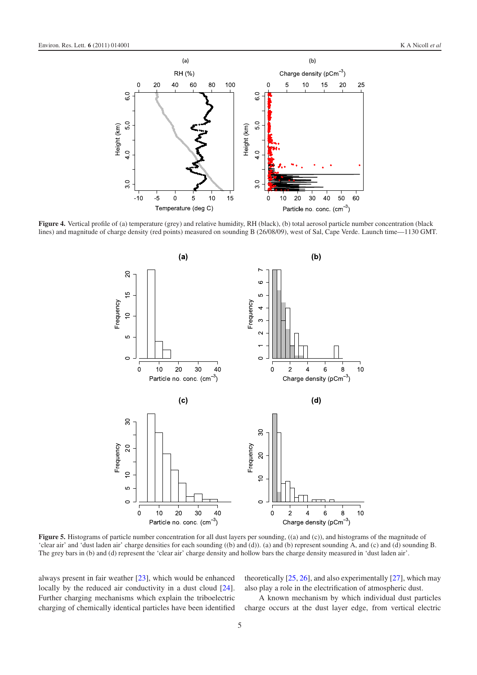<span id="page-6-0"></span>

<span id="page-6-1"></span>Figure 4. Vertical profile of (a) temperature (grey) and relative humidity, RH (black), (b) total aerosol particle number concentration (black lines) and magnitude of charge density (red points) measured on sounding B (26/08/09), west of Sal, Cape Verde. Launch time—1130 GMT.



**Figure 5.** Histograms of particle number concentration for all dust layers per sounding, ((a) and (c)), and histograms of the magnitude of 'clear air' and 'dust laden air' charge densities for each sounding ((b) and (d)). (a) and (b) represent sounding A, and (c) and (d) sounding B. The grey bars in (b) and (d) represent the 'clear air' charge density and hollow bars the charge density measured in 'dust laden air'.

always present in fair weather [\[23\]](#page-8-15), which would be enhanced locally by the reduced air conductivity in a dust cloud [\[24\]](#page-8-16). Further charging mechanisms which explain the triboelectric charging of chemically identical particles have been identified

theoretically  $[25, 26]$  $[25, 26]$  $[25, 26]$ , and also experimentally  $[27]$ , which may also play a role in the electrification of atmospheric dust.

A known mechanism by which individual dust particles charge occurs at the dust layer edge, from vertical electric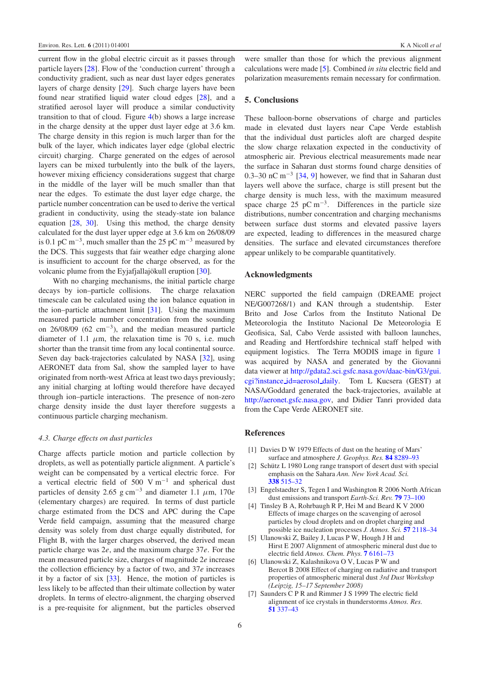current flow in the global electric circuit as it passes through particle layers [\[28\]](#page-8-20). Flow of the 'conduction current' through a conductivity gradient, such as near dust layer edges generates layers of charge density [\[29\]](#page-8-21). Such charge layers have been found near stratified liquid water cloud edges [\[28\]](#page-8-20), and a stratified aerosol layer will produce a similar conductivity transition to that of cloud. Figure [4\(](#page-6-0)b) shows a large increase in the charge density at the upper dust layer edge at 3.6 km. The charge density in this region is much larger than for the bulk of the layer, which indicates layer edge (global electric circuit) charging. Charge generated on the edges of aerosol layers can be mixed turbulently into the bulk of the layers, however mixing efficiency considerations suggest that charge in the middle of the layer will be much smaller than that near the edges. To estimate the dust layer edge charge, the particle number concentration can be used to derive the vertical gradient in conductivity, using the steady-state ion balance equation [\[28,](#page-8-20) [30\]](#page-8-22). Using this method, the charge density calculated for the dust layer upper edge at 3.6 km on 26/08/09 is 0.1 pC m<sup>-3</sup>, much smaller than the 25 pC m<sup>-3</sup> measured by the DCS. This suggests that fair weather edge charging alone is insufficient to account for the charge observed, as for the volcanic plume from the Eyjafjallajökull eruption [\[30\]](#page-8-22).

With no charging mechanisms, the initial particle charge decays by ion–particle collisions. The charge relaxation timescale can be calculated using the ion balance equation in the ion–particle attachment limit [\[31\]](#page-8-23). Using the maximum measured particle number concentration from the sounding on 26/08/09 (62 cm−3), and the median measured particle diameter of 1.1  $\mu$ m, the relaxation time is 70 s, i.e. much shorter than the transit time from any local continental source. Seven day back-trajectories calculated by NASA [\[32\]](#page-8-24), using AERONET data from Sal, show the sampled layer to have originated from north-west Africa at least two days previously; any initial charging at lofting would therefore have decayed through ion–particle interactions. The presence of non-zero charge density inside the dust layer therefore suggests a continuous particle charging mechanism.

#### *4.3. Charge effects on dust particles*

Charge affects particle motion and particle collection by droplets, as well as potentially particle alignment. A particle's weight can be compensated by a vertical electric force. For a vertical electric field of 500 V m−<sup>1</sup> and spherical dust particles of density 2.65 g cm<sup>-3</sup> and diameter 1.1  $\mu$ m, 170*e* (elementary charges) are required. In terms of dust particle charge estimated from the DCS and APC during the Cape Verde field campaign, assuming that the measured charge density was solely from dust charge equally distributed, for Flight B, with the larger charges observed, the derived mean particle charge was 2*e*, and the maximum charge 37*e*. For the mean measured particle size, charges of magnitude 2*e* increase the collection efficiency by a factor of two, and 37*e* increases it by a factor of six [\[33\]](#page-8-25). Hence, the motion of particles is less likely to be affected than their ultimate collection by water droplets. In terms of electro-alignment, the charging observed is a pre-requisite for alignment, but the particles observed were smaller than those for which the previous alignment calculations were made [\[5\]](#page-7-4). Combined *in situ* electric field and polarization measurements remain necessary for confirmation.

#### **5. Conclusions**

These balloon-borne observations of charge and particles made in elevated dust layers near Cape Verde establish that the individual dust particles aloft are charged despite the slow charge relaxation expected in the conductivity of atmospheric air. Previous electrical measurements made near the surface in Saharan dust storms found charge densities of 0.3–30 nC m<sup>-3</sup> [\[34,](#page-8-26) [9\]](#page-8-1) however, we find that in Saharan dust layers well above the surface, charge is still present but the charge density is much less, with the maximum measured space charge 25 pC m<sup>-3</sup>. Differences in the particle size distributions, number concentration and charging mechanisms between surface dust storms and elevated passive layers are expected, leading to differences in the measured charge densities. The surface and elevated circumstances therefore appear unlikely to be comparable quantitatively.

#### **Acknowledgments**

NERC supported the field campaign (DREAME project NE/G007268/1) and KAN through a studentship. Ester Brito and Jose Carlos from the Instituto National De Meteorologia the Instituto Nacional De Meteorologia E Geofisica, Sal, Cabo Verde assisted with balloon launches, and Reading and Hertfordshire technical staff helped with equipment logistics. The Terra MODIS image in figure [1](#page-4-0) was acquired by NASA and generated by the Giovanni data viewer at [http://gdata2.sci.gsfc.nasa.gov/daac-bin/G3/gui.](http://gdata2.sci.gsfc.nasa.gov/daac-bin/G3/gui.cgi?instance_id=aerosol_daily) [cgi?instance](http://gdata2.sci.gsfc.nasa.gov/daac-bin/G3/gui.cgi?instance_id=aerosol_daily) [id=aerosol](http://gdata2.sci.gsfc.nasa.gov/daac-bin/G3/gui.cgi?instance_id=aerosol_daily) [daily.](http://gdata2.sci.gsfc.nasa.gov/daac-bin/G3/gui.cgi?instance_id=aerosol_daily) Tom L Kucsera (GEST) at NASA/Goddard generated the back-trajectories, available at [http://aeronet.gsfc.nasa.gov,](http://aeronet.gsfc.nasa.gov) and Didier Tanri provided data from the Cape Verde AERONET site.

#### <span id="page-7-2"></span><span id="page-7-1"></span><span id="page-7-0"></span>**References**

- <span id="page-7-3"></span>[1] Davies D W 1979 Effects of dust on the heating of Mars'
- surface and atmosphere *J. Geophys. Res.* **84** [8289–93](http://dx.doi.org/10.1029/JB084iB14p08289) [2] Schütz L 1980 Long range transport of desert dust with special
- <span id="page-7-4"></span>emphasis on the Sahara *Ann. New York Acad. Sci.* **338** [515–32](http://dx.doi.org/10.1111/j.1749-6632.1980.tb17144.x)
- [3] Engelstaedter S, Tegen I and Washington R 2006 North African dust emissions and transport *Earth-Sci. Rev.* **79** [73–100](http://dx.doi.org/10.1016/j.earscirev.2006.06.004)
- <span id="page-7-5"></span>[4] Tinsley B A, Rohrbaugh R P, Hei M and Beard K V 2000 Effects of image charges on the scavenging of aerosol particles by cloud droplets and on droplet charging and possible ice nucleation processes *J. Atmos. Sci.* **57** [2118–34](http://dx.doi.org/10.1175/1520-0469(2000)057<2118:EOICOT>2.0.CO;2)
- <span id="page-7-6"></span>[5] Ulanowski Z, Bailey J, Lucas P W, Hough J H and Hirst E 2007 Alignment of atmospheric mineral dust due to electric field *Atmos. Chem. Phys.* **7** [6161–73](http://dx.doi.org/10.5194/acp-7-6161-2007)
- [6] Ulanowski Z, Kalashnikova O V, Lucas P W and Bercot B 2008 Effect of charging on radiative and transport properties of atmospheric mineral dust *3rd Dust Workshop (Leipzig, 15–17 September 2008)*
- [7] Saunders C P R and Rimmer J S 1999 The electric field alignment of ice crystals in thunderstorms *Atmos. Res.* **51** [337–43](http://dx.doi.org/10.1016/S0169-8095(99)00018-6)